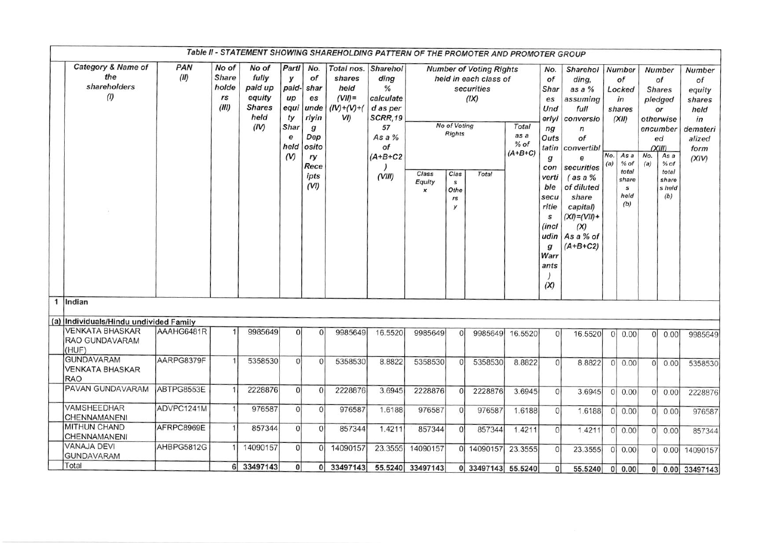|              |                                                           |             |                                               |                                                                      |                                                                          |                                                                                                            |                                                                             |                                                                                                               | Table II - STATEMENT SHOWING SHAREHOLDING PATTERN OF THE PROMOTER AND PROMOTER GROUP |                                                        |                                                                                        |                                      |                                                                                                                                                                                             |                                                                                                                                                                                                                    |            |                                                                                                                  |                |                                                                                                                                              |                                                                                       |
|--------------|-----------------------------------------------------------|-------------|-----------------------------------------------|----------------------------------------------------------------------|--------------------------------------------------------------------------|------------------------------------------------------------------------------------------------------------|-----------------------------------------------------------------------------|---------------------------------------------------------------------------------------------------------------|--------------------------------------------------------------------------------------|--------------------------------------------------------|----------------------------------------------------------------------------------------|--------------------------------------|---------------------------------------------------------------------------------------------------------------------------------------------------------------------------------------------|--------------------------------------------------------------------------------------------------------------------------------------------------------------------------------------------------------------------|------------|------------------------------------------------------------------------------------------------------------------|----------------|----------------------------------------------------------------------------------------------------------------------------------------------|---------------------------------------------------------------------------------------|
|              | Category & Name of<br>the<br>shareholders<br>(1)          | PAN<br>(II) | No of<br><b>Share</b><br>holde<br>rs<br>(III) | No of<br>fully<br>paid up<br>equity<br><b>Shares</b><br>held<br>(IV) | Partl<br>y<br>paid-<br>$\mu$<br>equi<br>ty<br>Shar<br>e<br>held<br>$(V)$ | No.<br>of<br>shar<br>es<br>unde<br>rlyin<br>$\boldsymbol{g}$<br>Dep<br>osito<br>ry<br>Rece<br>ipts<br>(VI) | Total nos. Sharehol<br>shares<br>held<br>$(VII)$ =<br>$(IV)+(V)+(V)$<br>VI) | ding<br>$\frac{9}{6}$<br>calculate<br>d as per<br><b>SCRR.19</b><br>57<br>As a %<br>of<br>$(A+B+C2$<br>(VIII) | Class<br>Equity<br>$\pmb{x}$                                                         | No of Voting<br>Rights<br>Clas<br>s<br>Othe<br>rs<br>у | <b>Number of Voting Rights</b><br>held in each class of<br>securities<br>(IX)<br>Total | Total<br>as a<br>$%$ of<br>$(A+B+C)$ | No.<br>of<br>Shar<br>es<br>Und<br>erlyi<br>ng<br>Outs<br>tatin<br>$\boldsymbol{q}$<br>con<br>verti<br>ble<br>secu<br>ritie<br>s<br>(incl<br>udin<br>$\boldsymbol{g}$<br>Warr<br>ants<br>(x) | Sharehol<br>ding,<br>as a %<br>assuming<br>full<br>conversio<br>n<br>of<br>convertibl<br>e<br>securities<br>$\int$ as a $\%$<br>of diluted<br>share<br>capital)<br>$(XI)=(VII)+$<br>(X)<br>As a % of<br>$(A+B+C2)$ | No.<br>(a) | Number<br>of<br>Locked<br>in<br>shares<br>(XII)<br>As a<br>% of<br>total<br>share<br>$\mathcal S$<br>held<br>(b) | No.<br>(a)     | Number<br>of<br><b>Shares</b><br>pledged<br>or<br>otherwise<br>encumber<br>ed<br>(XIII)<br>As a<br>$%$ of<br>total<br>share<br>s held<br>(b) | Number<br>of<br>equity<br>shares<br>held<br>in<br>demateri<br>alized<br>form<br>(XIV) |
| $\mathbf{1}$ | Indian                                                    |             |                                               |                                                                      |                                                                          |                                                                                                            |                                                                             |                                                                                                               |                                                                                      |                                                        |                                                                                        |                                      |                                                                                                                                                                                             |                                                                                                                                                                                                                    |            |                                                                                                                  |                |                                                                                                                                              |                                                                                       |
|              | (a) Individuals/Hindu undivided Family                    |             |                                               |                                                                      |                                                                          |                                                                                                            |                                                                             |                                                                                                               |                                                                                      |                                                        |                                                                                        |                                      |                                                                                                                                                                                             |                                                                                                                                                                                                                    |            |                                                                                                                  |                |                                                                                                                                              |                                                                                       |
|              | VENKATA BHASKAR<br>RAO GUNDAVARAM<br>(HUF)                | AAAHG6481R  |                                               | 9985649                                                              | $\Omega$                                                                 | $\Omega$                                                                                                   | 9985649                                                                     | 16.5520                                                                                                       | 9985649                                                                              | $\Omega$                                               | 9985649                                                                                | 16.5520                              | $\Omega$                                                                                                                                                                                    | 16.5520                                                                                                                                                                                                            | $\Omega$   | 0.00                                                                                                             | $\Omega$       | 0.00                                                                                                                                         | 9985649                                                                               |
|              | <b>GUNDAVARAM</b><br><b>VENKATA BHASKAR</b><br><b>RAO</b> | AARPG8379F  |                                               | 5358530                                                              | $\Omega$                                                                 | U                                                                                                          | 5358530                                                                     | 8.8822                                                                                                        | 5358530                                                                              | $\Omega$                                               | 5358530                                                                                | 8.8822                               | 0                                                                                                                                                                                           | 8.8822                                                                                                                                                                                                             | 0          | 0.00                                                                                                             | $\mathbf{0}$   | 0.00                                                                                                                                         | 5358530                                                                               |
|              | PAVAN GUNDAVARAM                                          | ABTPG8553E  | 1                                             | 2228876                                                              | $\Omega$                                                                 | $\Omega$                                                                                                   | 2228876                                                                     | 3.6945                                                                                                        | 2228876                                                                              | $\Omega$                                               | 2228876                                                                                | 3.6945                               | 0                                                                                                                                                                                           | 3.6945                                                                                                                                                                                                             |            | 0 0.00                                                                                                           | $\Omega$       | 0.00                                                                                                                                         | 2228876                                                                               |
|              | VAMSHEEDHAR<br><b>CHENNAMANENI</b>                        | ADVPC1241M  | 1                                             | 976587                                                               | $\Omega$                                                                 | $\overline{0}$                                                                                             | 976587                                                                      | 1.6188                                                                                                        | 976587                                                                               | $\Omega$                                               | 976587                                                                                 | 1.6188                               | 0                                                                                                                                                                                           | 1.6188                                                                                                                                                                                                             | 0          | 0.00                                                                                                             | $\Omega$       | 0.00                                                                                                                                         | 976587                                                                                |
|              | MITHUN CHAND<br>CHENNAMANENI                              | AFRPC8969E  | 1                                             | 857344                                                               | $\Omega$                                                                 | $\Omega$                                                                                                   | 857344                                                                      | 1.4211                                                                                                        | 857344                                                                               | $\Omega$                                               | 857344                                                                                 | 1.4211                               | $\Omega$                                                                                                                                                                                    | 1.4211                                                                                                                                                                                                             |            | 0 0.00                                                                                                           | $\overline{0}$ | 0.00                                                                                                                                         | 857344                                                                                |
|              | VANAJA DEVI<br><b>GUNDAVARAM</b>                          | AHBPG5812G  |                                               | 14090157                                                             | $\Omega$                                                                 | $\Omega$                                                                                                   | 14090157                                                                    | 23.3555                                                                                                       | 14090157                                                                             | $\overline{0}$                                         | 14090157                                                                               | 23.3555                              | $\Omega$                                                                                                                                                                                    | 23.3555                                                                                                                                                                                                            |            | 0 0.00                                                                                                           | 0              | 0.00                                                                                                                                         | 14090157                                                                              |
|              | Total                                                     |             |                                               | 6 33497143                                                           | $\Omega$                                                                 | 0                                                                                                          | 33497143                                                                    |                                                                                                               | 55.5240 33497143                                                                     |                                                        | 0 33497143 55.5240                                                                     |                                      | $\overline{0}$                                                                                                                                                                              | 55.5240                                                                                                                                                                                                            |            | 0 0.00                                                                                                           | 0 <sup>1</sup> |                                                                                                                                              | 0.00 33497143                                                                         |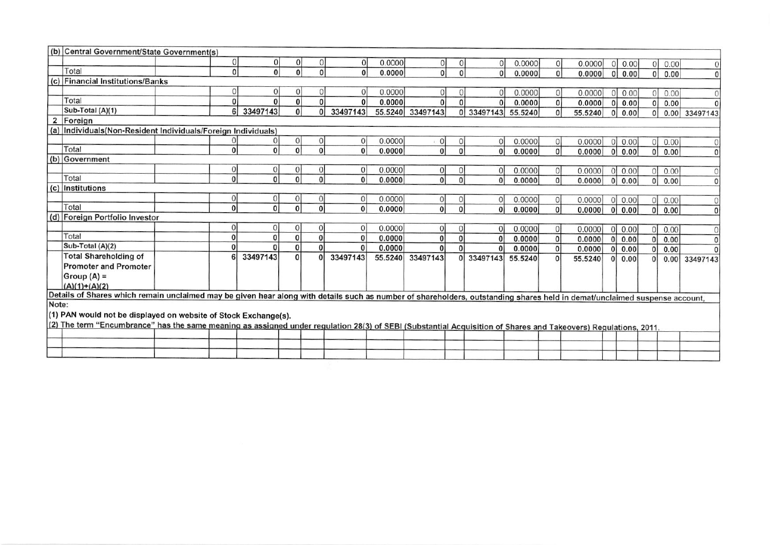|       | (b) Central Government/State Government(s)                                                                                                                                 |              |          |                |                |          |         |                  |          |             |         |              |         |                  |                        |                |
|-------|----------------------------------------------------------------------------------------------------------------------------------------------------------------------------|--------------|----------|----------------|----------------|----------|---------|------------------|----------|-------------|---------|--------------|---------|------------------|------------------------|----------------|
|       |                                                                                                                                                                            | $\Omega$     |          |                | 0              | $\Omega$ | 0.0000  |                  |          | $\Omega$    | 0.0000  |              | 0.0000  | 0.00             | $\overline{0}$<br>0.00 | $\Omega$       |
|       | Total                                                                                                                                                                      | $\bf{0}$     |          |                | 0              | $\Omega$ | 0.0000  | $\Omega$         | $\Omega$ | $\Omega$    | 0.0000  | $\Omega$     | 0.0000  | 0.00<br>$\Omega$ | 0 <sup>1</sup><br>0.00 | $\Omega$       |
|       | (c) Financial Institutions/Banks                                                                                                                                           |              |          |                |                |          |         |                  |          |             |         |              |         |                  |                        |                |
|       |                                                                                                                                                                            |              |          |                | $\mathbf{0}$   |          | 0.0000  |                  |          |             | 0.0000  |              | 0.0000  | 0.00             | 0.00                   | $\Omega$       |
|       | Total                                                                                                                                                                      | $\mathbf{0}$ |          |                | $\overline{0}$ | $\Omega$ | 0.0000  |                  |          | $\Omega$    | 0.0000  | $\mathbf{0}$ | 0.0000  | 0.00             | $\overline{0}$<br>0.00 | $\Omega$       |
|       | Sub-Total (A)(1)                                                                                                                                                           |              | 33497143 |                | $\overline{0}$ | 33497143 |         | 55.5240 33497143 |          | 0 33497143  | 55.5240 | $\Omega$     | 55.5240 | 0.00             |                        | 0.00 33497143  |
| 2     | Foreign                                                                                                                                                                    |              |          |                |                |          |         |                  |          |             |         |              |         |                  |                        |                |
|       | (a) Individuals (Non-Resident Individuals/Foreign Individuals)                                                                                                             |              |          |                |                |          |         |                  |          |             |         |              |         |                  |                        |                |
|       |                                                                                                                                                                            |              |          | $\overline{0}$ | $\mathbf 0$    |          | 0.0000  |                  |          | $\Omega$    | 0.0000  | $\Omega$     | 0.0000  | 0.00             | 0.00<br>01             | $\Omega$       |
|       | Total                                                                                                                                                                      | $\Omega$     | $\Omega$ | <sub>0</sub>   | $\Omega$       | $\Omega$ | 0.0000  |                  | $\Omega$ | $\Omega$    | 0.0000  | $\Omega$     | 0.0000  | 0.00             | 0.00<br>$\Omega$       | $\Omega$       |
| (b)   | Government                                                                                                                                                                 |              |          |                |                |          |         |                  |          |             |         |              |         |                  |                        |                |
|       |                                                                                                                                                                            |              |          |                |                | $\Omega$ | 0.0000  |                  |          |             | 0.0000  | $\Omega$     | 0.0000  | 0.00             | 0.00                   | $\Omega$       |
|       | Total                                                                                                                                                                      | $\bf{0}$     | $\Omega$ | $\overline{0}$ | $\overline{0}$ | $\Omega$ | 0.0000  | $\Omega$         | $\Omega$ | $\Omega$    | 0.0000  | $\Omega$     | 0.0000  | 0.00             | 0.00<br>0 <sup>1</sup> | $\Omega$       |
| (c)   | Institutions                                                                                                                                                               |              |          |                |                |          |         |                  |          |             |         |              |         |                  |                        |                |
|       |                                                                                                                                                                            | $\Omega$     |          |                |                | $\Omega$ | 0.0000  |                  |          | $\Omega$    | 0.0000  | $\Omega$     | 0.0000  | 0.00             | 0.00                   | $\Omega$       |
|       | Total                                                                                                                                                                      | $\Omega$     | Ωİ       | $\Omega$       | $\overline{0}$ | $\Omega$ | 0.0000  | $\Omega$         | ΩI       | $\mathbf 0$ | 0.0000  | $\Omega$     | 0.0000  | 0 0.00           | 0.00<br>ΩI             | $\Omega$       |
| (d)   | <b>Foreign Portfolio Investor</b>                                                                                                                                          |              |          |                |                |          |         |                  |          |             |         |              |         |                  |                        |                |
|       |                                                                                                                                                                            | $\Omega$     |          |                |                | $\Omega$ | 0.0000  |                  |          |             | 0.0000  | $\Omega$     | 0.0000  | 0.00             | 0.00                   | $\Omega$       |
|       | Total                                                                                                                                                                      | $\Omega$     | $\Omega$ | $\Omega$       |                |          | 0.0000  | n                |          |             | 0.0000  | $\mathbf{0}$ | 0.0000  | 0.00             | 0.00                   | $\mathbf{0}$   |
|       | Sub-Total (A)(2)                                                                                                                                                           | $\Omega$     |          | $\Omega$       |                | οI       | 0.0000  | $\Omega$         |          | $\Omega$    | 0.0000  | $\mathbf{0}$ | 0.0000  | 0.00<br>01       | 0.00                   | $\overline{0}$ |
|       | <b>Total Shareholding of</b>                                                                                                                                               | 6            | 33497143 | $\Omega$       |                | 33497143 | 55.5240 | 33497143         |          | 0 33497143  | 55.5240 | $\mathbf{0}$ | 55.5240 | 0.00<br>$\Omega$ | 0.00                   | 33497143       |
|       | <b>Promoter and Promoter</b>                                                                                                                                               |              |          |                |                |          |         |                  |          |             |         |              |         |                  |                        |                |
|       | Group $(A)$ =                                                                                                                                                              |              |          |                |                |          |         |                  |          |             |         |              |         |                  |                        |                |
|       | $(A)(1)+(A)(2)$                                                                                                                                                            |              |          |                |                |          |         |                  |          |             |         |              |         |                  |                        |                |
|       | Details of Shares which remain unclaimed may be given hear along with details such as number of shareholders, outstanding shares held in demat/unclaimed suspense account, |              |          |                |                |          |         |                  |          |             |         |              |         |                  |                        |                |
| Note: |                                                                                                                                                                            |              |          |                |                |          |         |                  |          |             |         |              |         |                  |                        |                |
|       | (1) PAN would not be displayed on website of Stock Exchange(s).                                                                                                            |              |          |                |                |          |         |                  |          |             |         |              |         |                  |                        |                |
|       | (2) The term "Encumbrance" has the same meaning as assigned under regulation 28(3) of SEBI (Substantial Acquisition of Shares and Takeovers) Regulations, 2011.            |              |          |                |                |          |         |                  |          |             |         |              |         |                  |                        |                |
|       |                                                                                                                                                                            |              |          |                |                |          |         |                  |          |             |         |              |         |                  |                        |                |
|       |                                                                                                                                                                            |              |          |                |                |          |         |                  |          |             |         |              |         |                  |                        |                |
|       |                                                                                                                                                                            |              |          |                |                |          |         |                  |          |             |         |              |         |                  |                        |                |